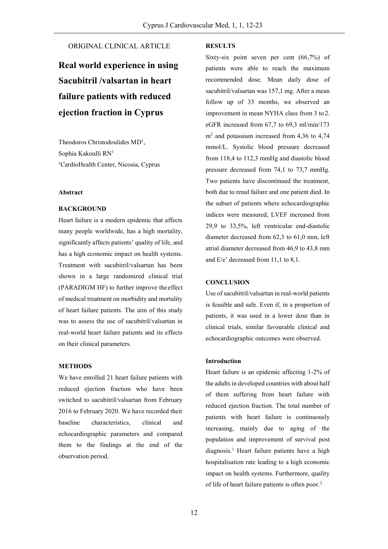# ORIGINAL CLINICAL ARTICLE

# **Real world experience in using Sacubitril /valsartan in heart failure patients with reduced ejection fraction in Cyprus**

Theodoros Christodoulides MD<sup>1</sup>, Sophia Kakoulli RN<sup>1</sup> <sup>1</sup>CardioHealth Center, Nicosia, Cyprus

#### **Abstract**

#### **BACKGROUND**

Heart failure is a modern epidemic that affects many people worldwide, has a high mortality, significantly affects patients' quality of life, and has a high economic impact on health systems. Treatment with sacubitril/valsartan has been shown in a large randomized clinical trial (PARADIGM HF) to further improve theeffect of medical treatment on morbidity and mortality of heart failure patients. The aim of this study was to assess the use of sacubitril/valsartan in real-world heart failure patients and its effects on their clinical parameters.

# **METHODS**

We have enrolled 21 heart failure patients with reduced ejection fraction who have been switched to sacubitril/valsartan from February 2016 to February 2020. We have recorded their baseline characteristics, clinical and echocardiographic parameters and compared them to the findings at the end of the observation period.

# **RESULTS**

Sixty-six point seven per cent (66,7%) of patients were able to reach the maximum recommended dose. Mean daily dose of sacubitril/valsartan was 157,1 mg. After a mean follow up of 33 months, we observed an improvement in mean NYHA class from 3 to 2. eGFR increased from 67,7 to 69,3 ml/min/173 m<sup>2</sup> and potassium increased from 4,36 to 4,74 mmol/L. Systolic blood pressure decreased from 118,4 to 112,3 mmHg and diastolic blood pressure decreased from 74,1 to 73,7 mmHg. Two patients have discontinued the treatment, both due to renal failure and one patient died. In the subset of patients where echocardiographic indices were measured, LVEF increased from 29,9 to 33,5%, left ventricular end-diastolic diameter decreased from 62,3 to 61,0 mm, left atrial diameter decreased from 46,9 to 43,8 mm and E/e' decreased from 11,1 to 8,1.

#### **CONCLUSION**

Use of sacubitril/valsartan in real-world patients is feasible and safe. Even if, in a proportion of patients, it was used in a lower dose than in clinical trials, similar favourable clinical and echocardiographic outcomes were observed.

### **Introduction**

Heart failure is an epidemic affecting 1-2% of the adults in developed countries with about half of them suffering from heart failure with reduced ejection fraction. The total number of patients with heart failure is continuously increasing, mainly due to aging of the population and improvement of survival post diagnosis.<sup>1</sup> Heart failure patients have a high hospitalisation rate leading to a high economic impact on health systems. Furthermore, quality of life of heart failure patients is often poor.2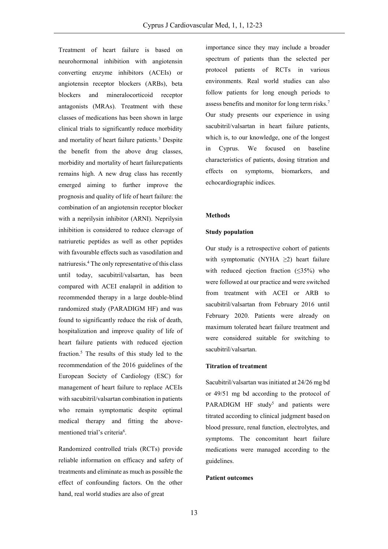Treatment of heart failure is based on neurohormonal inhibition with angiotensin converting enzyme inhibitors (ACEIs) or angiotensin receptor blockers (ARBs), beta blockers and mineralocorticoid receptor antagonists (MRAs). Treatment with these classes of medications has been shown in large clinical trials to significantly reduce morbidity and mortality of heart failure patients.<sup>3</sup> Despite the benefit from the above drug classes, morbidity and mortality of heart failurepatients remains high. A new drug class has recently emerged aiming to further improve the prognosis and quality of life of heart failure: the combination of an angiotensin receptor blocker with a neprilysin inhibitor (ARNI). Neprilysin inhibition is considered to reduce cleavage of natriuretic peptides as well as other peptides with favourable effects such as vasodilation and natriuresis.<sup>4</sup> The only representative of this class until today, sacubitril/valsartan, has been compared with ACEI enalapril in addition to recommended therapy in a large double-blind randomized study (PARADIGM HF) and was found to significantly reduce the risk of death, hospitalization and improve quality of life of heart failure patients with reduced ejection fraction.<sup>5</sup> The results of this study led to the recommendation of the 2016 guidelines of the European Society of Cardiology (ESC) for management of heart failure to replace ACEIs with sacubitril/valsartan combination in patients who remain symptomatic despite optimal medical therapy and fitting the abovementioned trial's criteria<sup>6</sup>.

Randomized controlled trials (RCTs) provide reliable information on efficacy and safety of treatments and eliminate as much as possible the effect of confounding factors. On the other hand, real world studies are also of great

importance since they may include a broader spectrum of patients than the selected per protocol patients of RCTs in various environments. Real world studies can also follow patients for long enough periods to assess benefits and monitor for long term risks.<sup>7</sup> Our study presents our experience in using sacubitril/valsartan in heart failure patients, which is, to our knowledge, one of the longest in Cyprus. We focused on baseline characteristics of patients, dosing titration and effects on symptoms, biomarkers, and echocardiographic indices.

#### **Methods**

#### **Study population**

Our study is a retrospective cohort of patients with symptomatic (NYHA  $\geq$ 2) heart failure with reduced ejection fraction  $(\leq 35\%)$  who were followed at our practice and were switched from treatment with ACEI or ARB to sacubitril/valsartan from February 2016 until February 2020. Patients were already on maximum tolerated heart failure treatment and were considered suitable for switching to sacubitril/valsartan.

#### **Titration of treatment**

Sacubitril/valsartan was initiated at 24/26 mg bd or 49/51 mg bd according to the protocol of PARADIGM HF study<sup>5</sup> and patients were titrated according to clinical judgment based on blood pressure, renal function, electrolytes, and symptoms. The concomitant heart failure medications were managed according to the guidelines.

# **Patient outcomes**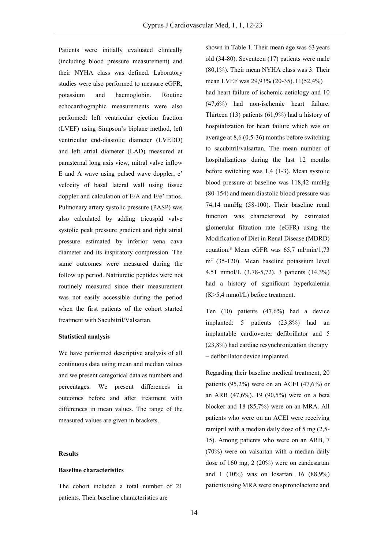Patients were initially evaluated clinically (including blood pressure measurement) and their NYHA class was defined. Laboratory studies were also performed to measure eGFR, potassium and haemoglobin. Routine echocardiographic measurements were also performed: left ventricular ejection fraction (LVEF) using Simpson's biplane method, left ventricular end-diastolic diameter (LVEDD) and left atrial diameter (LAD) measured at parasternal long axis view, mitral valve inflow E and A wave using pulsed wave doppler, e' velocity of basal lateral wall using tissue doppler and calculation of E/A and E/e' ratios. Pulmonary artery systolic pressure (PASP) was also calculated by adding tricuspid valve systolic peak pressure gradient and right atrial pressure estimated by inferior vena cava diameter and its inspiratory compression. The same outcomes were measured during the follow up period. Natriuretic peptides were not routinely measured since their measurement was not easily accessible during the period when the first patients of the cohort started treatment with Sacubitril/Valsartan.

#### **Statistical analysis**

We have performed descriptive analysis of all continuous data using mean and median values and we present categorical data as numbers and percentages. We present differences in outcomes before and after treatment with differences in mean values. The range of the measured values are given in brackets.

#### **Results**

#### **Baseline characteristics**

The cohort included a total number of 21 patients. Their baseline characteristics are

shown in Table 1. Their mean age was 63 years old (34-80). Seventeen (17) patients were male (80,1%). Their mean NYHA class was 3. Their mean LVEF was 29,93% (20-35). 11(52,4%) had heart failure of ischemic aetiology and 10 (47,6%) had non-ischemic heart failure. Thirteen (13) patients (61,9%) had a history of hospitalization for heart failure which was on average at 8,6 (0,5-36) months before switching to sacubitril/valsartan. The mean number of hospitalizations during the last 12 months before switching was 1,4 (1-3). Mean systolic blood pressure at baseline was 118,42 mmHg (80-154) and mean diastolic blood pressure was 74,14 mmHg (58-100). Their baseline renal function was characterized by estimated glomerular filtration rate (eGFR) using the Modification of Diet in Renal Disease (MDRD) equation.<sup>8</sup> Mean eGFR was 65,7 ml/min/1,73 m<sup>2</sup> (35-120). Mean baseline potassium level 4,51 mmol/L (3,78-5,72). 3 patients (14,3%) had a history of significant hyperkalemia (K>5,4 mmol/L) before treatment.

Ten (10) patients (47,6%) had a device implanted: 5 patients (23,8%) had an implantable cardioverter defibrillator and 5 (23,8%) had cardiac resynchronization therapy – defibrillator device implanted.

Regarding their baseline medical treatment, 20 patients  $(95,2\%)$  were on an ACEI  $(47,6\%)$  or an ARB (47,6%). 19 (90,5%) were on a beta blocker and 18 (85,7%) were on an MRA. All patients who were on an ACEI were receiving ramipril with a median daily dose of 5 mg (2,5- 15). Among patients who were on an ARB, 7 (70%) were on valsartan with a median daily dose of 160 mg, 2 (20%) were on candesartan and 1 (10%) was on losartan. 16 (88,9%) patients using MRA were on spironolactone and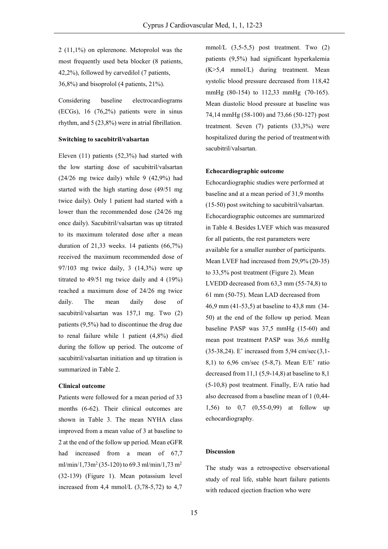2 (11,1%) on eplerenone. Metoprolol was the most frequently used beta blocker (8 patients, 42,2%), followed by carvedilol (7 patients, 36,8%) and bisoprolol (4 patients, 21%).

Considering baseline electrocardiograms (ECGs), 16 (76,2%) patients were in sinus rhythm, and 5 (23,8%) were in atrial fibrillation.

# **Switching to sacubitril/valsartan**

Eleven (11) patients (52,3%) had started with the low starting dose of sacubitril/valsartan  $(24/26 \text{ mg twice daily})$  while 9  $(42,9\%)$  had started with the high starting dose (49/51 mg twice daily). Only 1 patient had started with a lower than the recommended dose (24/26 mg once daily). Sacubitril/valsartan was up titrated to its maximum tolerated dose after a mean duration of 21,33 weeks. 14 patients (66,7%) received the maximum recommended dose of 97/103 mg twice daily, 3 (14,3%) were up titrated to 49/51 mg twice daily and 4 (19%) reached a maximum dose of 24/26 mg twice daily. The mean daily dose of sacubitril/valsartan was 157,1 mg. Two (2) patients (9,5%) had to discontinue the drug due to renal failure while 1 patient (4,8%) died during the follow up period. The outcome of sacubitril/valsartan initiation and up titration is summarized in Table 2.

#### **Clinical outcome**

Patients were followed for a mean period of 33 months (6-62). Their clinical outcomes are shown in Table 3. The mean NYHA class improved from a mean value of 3 at baseline to 2 at the end of the follow up period. Mean eGFR had increased from a mean of 67,7 ml/min/1,73m<sup>2</sup> (35-120) to 69.3 ml/min/1,73 m<sup>2</sup> (32-139) (Figure 1). Mean potassium level increased from 4,4 mmol/L  $(3,78-5,72)$  to 4,7

mmol/L (3,5-5,5) post treatment. Two (2) patients (9,5%) had significant hyperkalemia (K>5,4 mmol/L) during treatment. Mean systolic blood pressure decreased from 118,42 mmHg (80-154) to 112,33 mmHg (70-165). Mean diastolic blood pressure at baseline was 74,14 mmHg (58-100) and 73,66 (50-127) post treatment. Seven (7) patients (33,3%) were hospitalized during the period of treatmentwith sacubitril/valsartan.

#### **Echocardiographic outcome**

Echocardiographic studies were performed at baseline and at a mean period of 31,9 months (15-50) post switching to sacubitril/valsartan. Echocardiographic outcomes are summarized in Table 4. Besides LVEF which was measured for all patients, the rest parameters were available for a smaller number of participants. Mean LVEF had increased from 29,9% (20-35) to 33,5% post treatment (Figure 2). Mean LVEDD decreased from 63,3 mm (55-74,8) to 61 mm (50-75). Mean LAD decreased from 46,9 mm (41-53,5) at baseline to 43,8 mm (34- 50) at the end of the follow up period. Mean baseline PASP was 37,5 mmHg (15-60) and mean post treatment PASP was 36,6 mmHg (35-38,24). E' increased from 5,94 cm/sec (3,1- 8,1) to 6,96 cm/sec (5-8,7). Mean E/E' ratio decreased from  $11, 1$  (5,9-14,8) at baseline to 8,1 (5-10,8) post treatment. Finally, E/A ratio had also decreased from a baseline mean of 1 (0,44- 1,56) to 0,7 (0,55-0,99) at follow up echocardiography.

# **Discussion**

The study was a retrospective observational study of real life, stable heart failure patients with reduced ejection fraction who were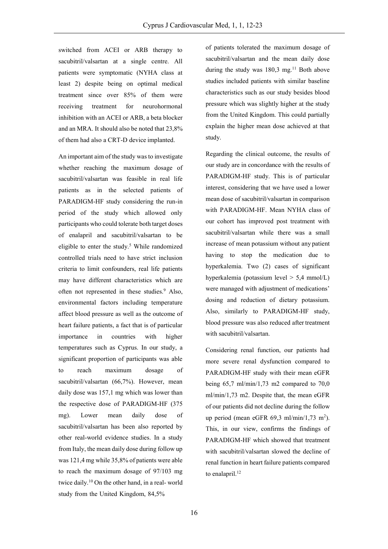switched from ACEI or ARB therapy to sacubitril/valsartan at a single centre. All patients were symptomatic (NYHA class at least 2) despite being on optimal medical treatment since over 85% of them were receiving treatment for neurohormonal inhibition with an ACEI or ARB, a beta blocker and an MRA. It should also be noted that 23,8% of them had also a CRT-D device implanted.

An important aim of the study was to investigate whether reaching the maximum dosage of sacubitril/valsartan was feasible in real life patients as in the selected patients of PARADIGM-HF study considering the run-in period of the study which allowed only participants who could tolerate both target doses of enalapril and sacubitril/valsartan to be eligible to enter the study.<sup>5</sup> While randomized controlled trials need to have strict inclusion criteria to limit confounders, real life patients may have different characteristics which are often not represented in these studies.<sup>9</sup> Also, environmental factors including temperature affect blood pressure as well as the outcome of heart failure patients, a fact that is of particular importance in countries with higher temperatures such as Cyprus. In our study, a significant proportion of participants was able to reach maximum dosage of sacubitril/valsartan (66,7%). However, mean daily dose was 157,1 mg which was lower than the respective dose of PARADIGM-HF (375 mg). Lower mean daily dose of sacubitril/valsartan has been also reported by other real-world evidence studies. In a study from Italy, the mean daily dose during follow up was 121,4 mg while 35,8% of patients were able to reach the maximum dosage of 97/103 mg twice daily.<sup>10</sup> On the other hand, in a real- world study from the United Kingdom, 84,5%

of patients tolerated the maximum dosage of sacubitril/valsartan and the mean daily dose during the study was  $180.3 \text{ mg}$ <sup>11</sup> Both above studies included patients with similar baseline characteristics such as our study besides blood pressure which was slightly higher at the study from the United Kingdom. This could partially explain the higher mean dose achieved at that study.

Regarding the clinical outcome, the results of our study are in concordance with the results of PARADIGM-HF study. This is of particular interest, considering that we have used a lower mean dose of sacubitril/valsartan in comparison with PARADIGM-HF. Mean NYHA class of our cohort has improved post treatment with sacubitril/valsartan while there was a small increase of mean potassium without any patient having to stop the medication due to hyperkalemia. Two (2) cases of significant hyperkalemia (potassium level > 5,4 mmol/L) were managed with adjustment of medications' dosing and reduction of dietary potassium. Also, similarly to PARADIGM-HF study, blood pressure was also reduced after treatment with sacubitril/valsartan.

Considering renal function, our patients had more severe renal dysfunction compared to PARADIGM-HF study with their mean eGFR being  $65.7 \text{ ml/min}/1,73 \text{ m2}$  compared to  $70.0 \text{ m}$ ml/min/1,73 m2. Despite that, the mean eGFR of our patients did not decline during the follow up period (mean eGFR  $69,3$  ml/min/1,73 m<sup>2</sup>). This, in our view, confirms the findings of PARADIGM-HF which showed that treatment with sacubitril/valsartan slowed the decline of renal function in heart failure patients compared to enalapril. $^{12}$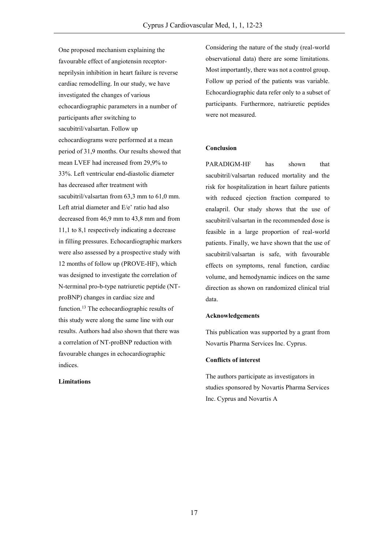One proposed mechanism explaining the favourable effect of angiotensin receptorneprilysin inhibition in heart failure is reverse cardiac remodelling. In our study, we have investigated the changes of various echocardiographic parameters in a number of participants after switching to sacubitril/valsartan. Follow up echocardiograms were performed at a mean period of 31,9 months. Our results showed that mean LVEF had increased from 29,9% to 33%. Left ventricular end-diastolic diameter has decreased after treatment with sacubitril/valsartan from 63,3 mm to 61,0 mm. Left atrial diameter and E/e' ratio had also decreased from 46,9 mm to 43,8 mm and from 11,1 to 8,1 respectively indicating a decrease in filling pressures. Echocardiographic markers were also assessed by a prospective study with 12 months of follow up (PROVE-HF), which was designed to investigate the correlation of N-terminal pro-b-type natriuretic peptide (NTproBNP) changes in cardiac size and function.<sup>13</sup> The echocardiographic results of this study were along the same line with our results. Authors had also shown that there was a correlation of NT-proBNP reduction with favourable changes in echocardiographic indices.

# **Limitations**

Considering the nature of the study (real-world observational data) there are some limitations. Most importantly, there was not a control group. Follow up period of the patients was variable. Echocardiographic data refer only to a subset of participants. Furthermore, natriuretic peptides were not measured.

#### **Conclusion**

PARADIGM-HF has shown that sacubitril/valsartan reduced mortality and the risk for hospitalization in heart failure patients with reduced ejection fraction compared to enalapril. Our study shows that the use of sacubitril/valsartan in the recommended dose is feasible in a large proportion of real-world patients. Finally, we have shown that the use of sacubitril/valsartan is safe, with favourable effects on symptoms, renal function, cardiac volume, and hemodynamic indices on the same direction as shown on randomized clinical trial data.

#### **Acknowledgements**

This publication was supported by a grant from Novartis Pharma Services Inc. Cyprus.

# **Conflicts of interest**

The authors participate as investigators in studies sponsored by Novartis Pharma Services Inc. Cyprus and Novartis A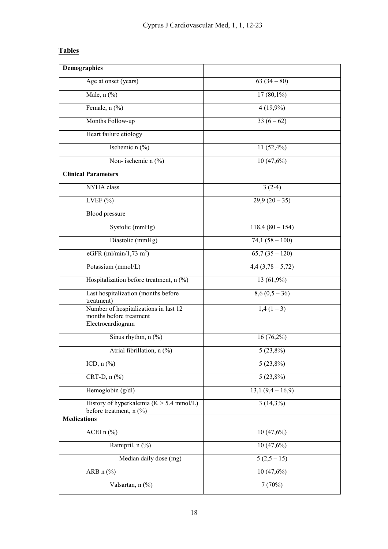# **Tables**

| <b>Demographics</b>                                                    |                  |
|------------------------------------------------------------------------|------------------|
| Age at onset (years)                                                   | $63(34-80)$      |
| Male, $n$ $%$                                                          | $17(80,1\%)$     |
| Female, $n$ $(\%)$                                                     | $4(19,9\%)$      |
| Months Follow-up                                                       | $33(6-62)$       |
| Heart failure etiology                                                 |                  |
| Ischemic n (%)                                                         | 11 $(52,4\%)$    |
| Non- ischemic $n$ (%)                                                  | 10(47,6%)        |
| <b>Clinical Parameters</b>                                             |                  |
| NYHA class                                                             | $3(2-4)$         |
| LVEF $(\% )$                                                           | $29,9(20-35)$    |
| <b>Blood</b> pressure                                                  |                  |
| Systolic (mmHg)                                                        | $118,4(80-154)$  |
| Diastolic (mmHg)                                                       | $74,1(58-100)$   |
| eGFR $(ml/min/1, 73 m2)$                                               | $65,7(35-120)$   |
| Potassium (mmol/L)                                                     | $4,4(3,78-5,72)$ |
| Hospitalization before treatment, $n$ (%)                              | $13(61,9\%)$     |
| Last hospitalization (months before                                    | $8,6(0,5-36)$    |
| treatment)                                                             |                  |
| Number of hospitalizations in last 12<br>months before treatment       | $1,4(1-3)$       |
| Electrocardiogram                                                      |                  |
| Sinus rhythm, $n$ $(\%)$                                               | $16(76,2\%)$     |
| Atrial fibrillation, n (%)                                             | $5(23,8\%)$      |
| ICD, $n$ $\left(\frac{9}{0}\right)$                                    | $5(23,8\%)$      |
| $CRT-D, n (%)$                                                         | $5(23,8\%)$      |
| Hemoglobin $(g/dl)$                                                    | $13,1(9,4-16,9)$ |
| History of hyperkalemia ( $K > 5.4$ mmol/L)<br>before treatment, n (%) | $3(14,3\%)$      |
| <b>Medications</b>                                                     |                  |
| ACEI n (%)                                                             | 10(47,6%)        |
| Ramipril, n (%)                                                        | 10(47,6%)        |
| Median daily dose (mg)                                                 | $5(2,5-15)$      |
| ARB $n$ (%)                                                            | 10(47,6%)        |
| Valsartan, n (%)                                                       | 7(70%)           |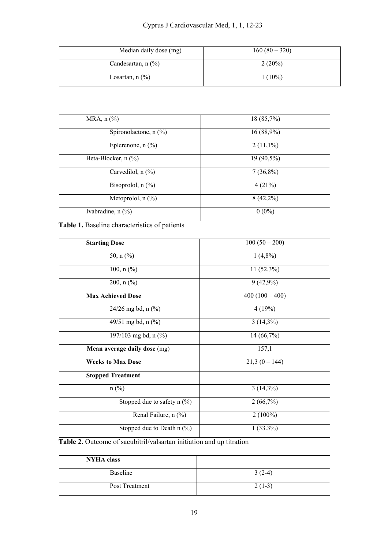| Median daily dose (mg)  | $160(80-320)$ |
|-------------------------|---------------|
| Candesartan, $n$ $(\%)$ | 2(20%)        |
| Losartan, $n$ $(\%)$    | $1(10\%)$     |

| MRA, $n$ $\left(\frac{9}{6}\right)$ | 18 (85,7%)  |
|-------------------------------------|-------------|
| Spironolactone, $n$ (%)             | 16(88,9%)   |
| Eplerenone, $n$ (%)                 | $2(11,1\%)$ |
| Beta-Blocker, n (%)                 | 19 (90,5%)  |
| Carvedilol, $n$ $(\%)$              | $7(36,8\%)$ |
| Bisoprolol, $n$ $(\%)$              | 4(21%)      |
| Metoprolol, $n$ $(\%)$              | $8(42,2\%)$ |
| Ivabradine, $n$ $(\%)$              | $0(0\%)$    |

# **Table 1.** Baseline characteristics of patients

| <b>Starting Dose</b>           | $100(50-200)$  |
|--------------------------------|----------------|
|                                |                |
| 50, $n$ (%)                    | $1(4,8\%)$     |
| 100, $n$ (%)                   | $11(52,3\%)$   |
| $200, n$ (%)                   | $9(42,9\%)$    |
| <b>Max Achieved Dose</b>       | $400(100-400)$ |
| $24/26$ mg bd, n $(\%$ )       | 4(19%)         |
| 49/51 mg bd, n $(\frac{9}{0})$ | $3(14,3\%)$    |
| 197/103 mg bd, n $(\% )$       | 14 (66,7%)     |
| Mean average daily dose (mg)   | 157,1          |
| <b>Weeks to Max Dose</b>       | $21,3(0-144)$  |
| <b>Stopped Treatment</b>       |                |
| $n$ (%)                        | $3(14,3\%)$    |
| Stopped due to safety $n$ (%)  | 2(66,7%)       |
| Renal Failure, n (%)           | $2(100\%)$     |
| Stopped due to Death $n$ (%)   | $1(33.3\%)$    |

Table 2. Outcome of sacubitril/valsartan initiation and up titration

| <b>NYHA</b> class |          |
|-------------------|----------|
| Baseline          | $3(2-4)$ |
| Post Treatment    | $2(1-3)$ |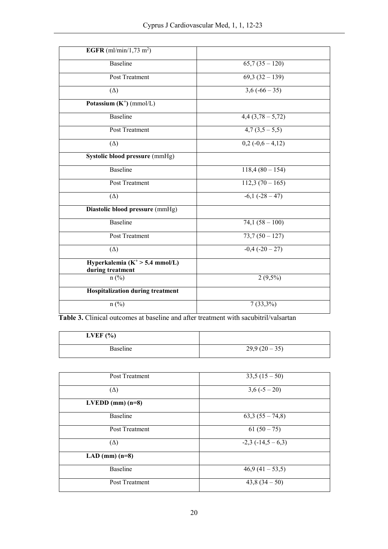| <b>EGFR</b> (ml/min/1,73 m <sup>2</sup> )              |                  |
|--------------------------------------------------------|------------------|
| <b>Baseline</b>                                        | $65,7(35-120)$   |
| <b>Post Treatment</b>                                  | $69,3(32-139)$   |
| $(\Delta)$                                             | $3,6(-66-35)$    |
| Potassium $(K^+)$ (mmol/L)                             |                  |
| <b>Baseline</b>                                        | $4,4(3,78-5,72)$ |
| Post Treatment                                         | $4,7(3,5-5,5)$   |
| $(\Delta)$                                             | $0,2(-0,6-4,12)$ |
| Systolic blood pressure (mmHg)                         |                  |
| <b>Baseline</b>                                        | $118,4(80-154)$  |
| Post Treatment                                         | $112,3(70-165)$  |
| $(\Delta)$                                             | $-6,1(-28-47)$   |
| Diastolic blood pressure (mmHg)                        |                  |
| <b>Baseline</b>                                        | $74,1(58-100)$   |
| <b>Post Treatment</b>                                  | $73,7(50-127)$   |
| $(\Delta)$                                             | $-0,4(-20-27)$   |
| Hyperkalemia ( $K^+$ > 5.4 mmol/L)<br>during treatment |                  |
| $n$ (%)                                                | $2(9,5\%)$       |
| <b>Hospitalization during treatment</b>                |                  |
| $n$ (%)                                                | $7(33,3\%)$      |

**Table 3.** Clinical outcomes at baseline and after treatment with sacubitril/valsartan

| LVEF $(\% )$ |               |
|--------------|---------------|
| Baseline     | $29,9(20-35)$ |

| Post Treatment     | $33,5(15-50)$     |
|--------------------|-------------------|
| $(\Delta)$         | $3,6(-5-20)$      |
| $LVEDD$ (mm) (n=8) |                   |
| <b>Baseline</b>    | $63,3(55-74,8)$   |
| Post Treatment     | $61(50-75)$       |
| $(\Delta)$         | $-2,3(-14,5-6,3)$ |
| LAD (mm) $(n=8)$   |                   |
| <b>Baseline</b>    | $46,9(41-53,5)$   |
| Post Treatment     | $43,8(34-50)$     |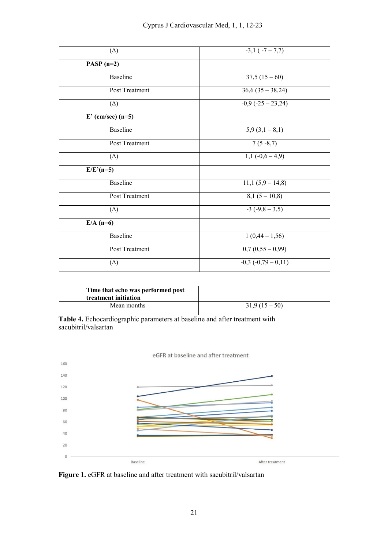| $(\Delta)$          | $-3,1(-7-7,7)$                 |
|---------------------|--------------------------------|
| PASP $(n=2)$        |                                |
| <b>Baseline</b>     | $37,5(15-60)$                  |
| Post Treatment      | $36,6(35-38,24)$               |
| $(\Delta)$          | $-0.9$ $(-25 - 23.24)$         |
| $E'$ (cm/sec) (n=5) |                                |
| <b>Baseline</b>     | $5,9(3,1-8,1)$                 |
| Post Treatment      | $7(5-8,7)$                     |
| $(\Delta)$          | $1,1(-0,6-4,9)$                |
| $E/E'(n=5)$         |                                |
| <b>Baseline</b>     | $\overline{11,1}$ (5,9 – 14,8) |
| Post Treatment      | $\overline{8,1}$ (5 – 10,8)    |
| $(\Delta)$          | $-3(-9,8-3,5)$                 |
| $E/A$ (n=6)         |                                |
| Baseline            | $1(0,44-1,56)$                 |
| Post Treatment      | $0,7(0,55-0,99)$               |
| $(\Delta)$          | $-0,3(-0,79-0,11)$             |

| Time that echo was performed post<br>treatment initiation |               |
|-----------------------------------------------------------|---------------|
| Mean months                                               | $31,9(15-50)$ |

Table 4. Echocardiographic parameters at baseline and after treatment with sacubitril/valsartan



Figure 1. eGFR at baseline and after treatment with sacubitril/valsartan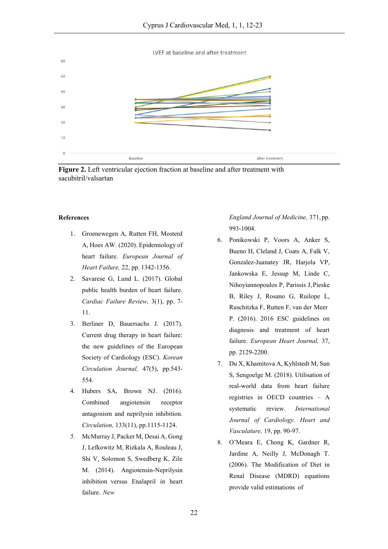LVEF at baseline and after treatment



**Figure 2.** Left ventricular ejection fraction at baseline and after treatment with sacubitril/valsartan

### **References**

- 1. Groenewegen A, Rutten FH, Mosterd A, Hoes AW. (2020). Epidemiology of heart failure. *European Journal of Heart Failure,* 22, pp. 1342-1356.
- 2. Savarese G, Lund L. (2017). Global public health burden of heart failure. *Cardiac Failure Review,* 3(1), pp. 7- 11.
- 3. Berliner D, Bauersachs J. (2017). Current drug therapy in heart failure: the new guidelines of the European Society of Cardiology (ESC). *Korean Circulation Journal,* 47(5), pp.543- 554.
- 4. Hubers SA, Brown NJ. (2016). Combined angiotensin receptor antagonism and neprilysin inhibition. *Circulation,* 133(11), pp.1115-1124.
- *5.* McMurray J, Packer M, Desai A, Gong J, Lefkowitz M, Rizkala A, Rouleau J, Shi V, Solomon S, Swedberg K, Zile M. (2014). Angiotensin-Neprilysin inhibition versus Enalapril in heart failure. *New*

*England Journal of Medicine,* 371,pp. 993-1004.

- 6. Ponikowski P, Voors A, Anker S, Bueno H, Cleland J, Coats A, Falk V, Gonzalez-Juanatey JR, Harjola VP, Jankowska E, Jessup M, Linde C, Nihoyiannopoulos P, Parissis J,Pieske B, Riley J, Rosano G, Ruilope L, Ruschitzka F, Rutten F, van der Meer P. (2016). 2016 ESC guidelines on diagnosis and treatment of heart failure. *European Heart Journal,* 37, pp. 2129-2200.
- 7. Du X, Khamitova A, Kyhlstedt M, Sun S, Sengoelge M. (2018). Utilisation of real-world data from heart failure registries in OECD countries – A systematic review. *International Journal of Cardiology. Heart and Vasculature,* 19, pp. 90-97.
- 8. O'Meara E, Chong K, Gardner R, Jardine A, Neilly J, McDonagh T. (2006). The Modification of Diet in Renal Disease (MDRD) equations provide valid estimations of